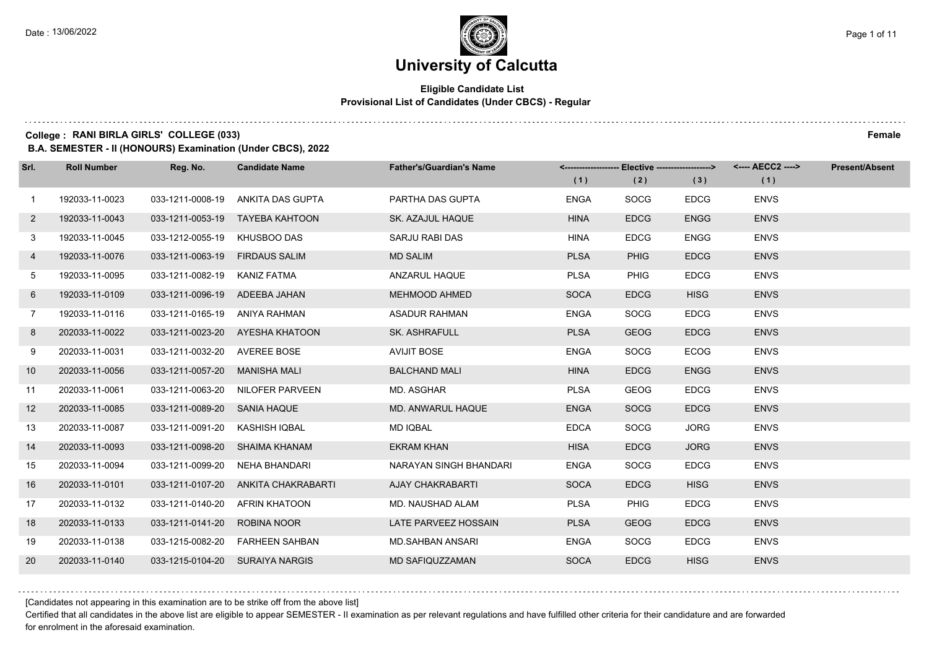## **Eligible Candidate List Provisional List of Candidates (Under CBCS) - Regular**

#### **College : RANI BIRLA GIRLS' COLLEGE (033) Female**

**B.A. SEMESTER - II (HONOURS) Examination (Under CBCS), 2022**

| Srl.              | <b>Roll Number</b> | Reg. No.                       | <b>Candidate Name</b>               | <b>Father's/Guardian's Name</b> | (1)         | <-------------------- Elective -------------------> |             | <---- AECC2 ----><br>(1) | <b>Present/Absent</b> |
|-------------------|--------------------|--------------------------------|-------------------------------------|---------------------------------|-------------|-----------------------------------------------------|-------------|--------------------------|-----------------------|
|                   |                    |                                |                                     |                                 |             | (2)                                                 | (3)         |                          |                       |
| $\mathbf{1}$      | 192033-11-0023     |                                | 033-1211-0008-19 ANKITA DAS GUPTA   | PARTHA DAS GUPTA                | <b>ENGA</b> | <b>SOCG</b>                                         | <b>EDCG</b> | <b>ENVS</b>              |                       |
| $\mathbf{2}$      | 192033-11-0043     |                                | 033-1211-0053-19 TAYEBA KAHTOON     | SK. AZAJUL HAQUE                | <b>HINA</b> | <b>EDCG</b>                                         | <b>ENGG</b> | <b>ENVS</b>              |                       |
| 3 <sup>1</sup>    | 192033-11-0045     | 033-1212-0055-19 KHUSBOO DAS   |                                     | SARJU RABI DAS                  | <b>HINA</b> | <b>EDCG</b>                                         | <b>ENGG</b> | <b>ENVS</b>              |                       |
| 4                 | 192033-11-0076     | 033-1211-0063-19 FIRDAUS SALIM |                                     | <b>MD SALIM</b>                 | <b>PLSA</b> | <b>PHIG</b>                                         | <b>EDCG</b> | <b>ENVS</b>              |                       |
| 5                 | 192033-11-0095     | 033-1211-0082-19               | KANIZ FATMA                         | ANZARUL HAQUE                   | <b>PLSA</b> | <b>PHIG</b>                                         | <b>EDCG</b> | <b>ENVS</b>              |                       |
| 6                 | 192033-11-0109     | 033-1211-0096-19 ADEEBA JAHAN  |                                     | <b>MEHMOOD AHMED</b>            | <b>SOCA</b> | <b>EDCG</b>                                         | <b>HISG</b> | <b>ENVS</b>              |                       |
| $\overline{7}$    | 192033-11-0116     | 033-1211-0165-19 ANIYA RAHMAN  |                                     | <b>ASADUR RAHMAN</b>            | <b>ENGA</b> | <b>SOCG</b>                                         | <b>EDCG</b> | <b>ENVS</b>              |                       |
| 8                 | 202033-11-0022     |                                | 033-1211-0023-20 AYESHA KHATOON     | <b>SK. ASHRAFULL</b>            | <b>PLSA</b> | <b>GEOG</b>                                         | <b>EDCG</b> | <b>ENVS</b>              |                       |
| 9                 | 202033-11-0031     | 033-1211-0032-20               | AVEREE BOSE                         | <b>AVIJIT BOSE</b>              | <b>ENGA</b> | <b>SOCG</b>                                         | <b>ECOG</b> | <b>ENVS</b>              |                       |
| 10 <sup>°</sup>   | 202033-11-0056     | 033-1211-0057-20               | MANISHA MALI                        | <b>BALCHAND MALI</b>            | <b>HINA</b> | <b>EDCG</b>                                         | <b>ENGG</b> | <b>ENVS</b>              |                       |
| 11                | 202033-11-0061     |                                | 033-1211-0063-20 NILOFER PARVEEN    | MD. ASGHAR                      | <b>PLSA</b> | <b>GEOG</b>                                         | <b>EDCG</b> | <b>ENVS</b>              |                       |
| $12 \overline{ }$ | 202033-11-0085     | 033-1211-0089-20 SANIA HAQUE   |                                     | <b>MD. ANWARUL HAQUE</b>        | <b>ENGA</b> | <b>SOCG</b>                                         | <b>EDCG</b> | <b>ENVS</b>              |                       |
| 13                | 202033-11-0087     | 033-1211-0091-20 KASHISH IQBAL |                                     | MD IQBAL                        | <b>EDCA</b> | <b>SOCG</b>                                         | <b>JORG</b> | <b>ENVS</b>              |                       |
| 14                | 202033-11-0093     |                                | 033-1211-0098-20 SHAIMA KHANAM      | <b>EKRAM KHAN</b>               | <b>HISA</b> | <b>EDCG</b>                                         | <b>JORG</b> | <b>ENVS</b>              |                       |
| 15                | 202033-11-0094     | 033-1211-0099-20 NEHA BHANDARI |                                     | NARAYAN SINGH BHANDARI          | <b>ENGA</b> | <b>SOCG</b>                                         | <b>EDCG</b> | <b>ENVS</b>              |                       |
| 16                | 202033-11-0101     |                                | 033-1211-0107-20 ANKITA CHAKRABARTI | <b>AJAY CHAKRABARTI</b>         | <b>SOCA</b> | <b>EDCG</b>                                         | <b>HISG</b> | <b>ENVS</b>              |                       |
| 17                | 202033-11-0132     | 033-1211-0140-20               | AFRIN KHATOON                       | MD. NAUSHAD ALAM                | <b>PLSA</b> | <b>PHIG</b>                                         | <b>EDCG</b> | <b>ENVS</b>              |                       |
| 18                | 202033-11-0133     | 033-1211-0141-20               | <b>ROBINA NOOR</b>                  | LATE PARVEEZ HOSSAIN            | <b>PLSA</b> | <b>GEOG</b>                                         | <b>EDCG</b> | <b>ENVS</b>              |                       |
| 19                | 202033-11-0138     |                                | 033-1215-0082-20    FARHEEN SAHBAN  | MD.SAHBAN ANSARI                | <b>ENGA</b> | <b>SOCG</b>                                         | <b>EDCG</b> | <b>ENVS</b>              |                       |
| 20                | 202033-11-0140     |                                | 033-1215-0104-20 SURAIYA NARGIS     | MD SAFIQUZZAMAN                 | <b>SOCA</b> | <b>EDCG</b>                                         | <b>HISG</b> | <b>ENVS</b>              |                       |

[Candidates not appearing in this examination are to be strike off from the above list]

Certified that all candidates in the above list are eligible to appear SEMESTER - II examination as per relevant regulations and have fulfilled other criteria for their candidature and are forwarded for enrolment in the aforesaid examination.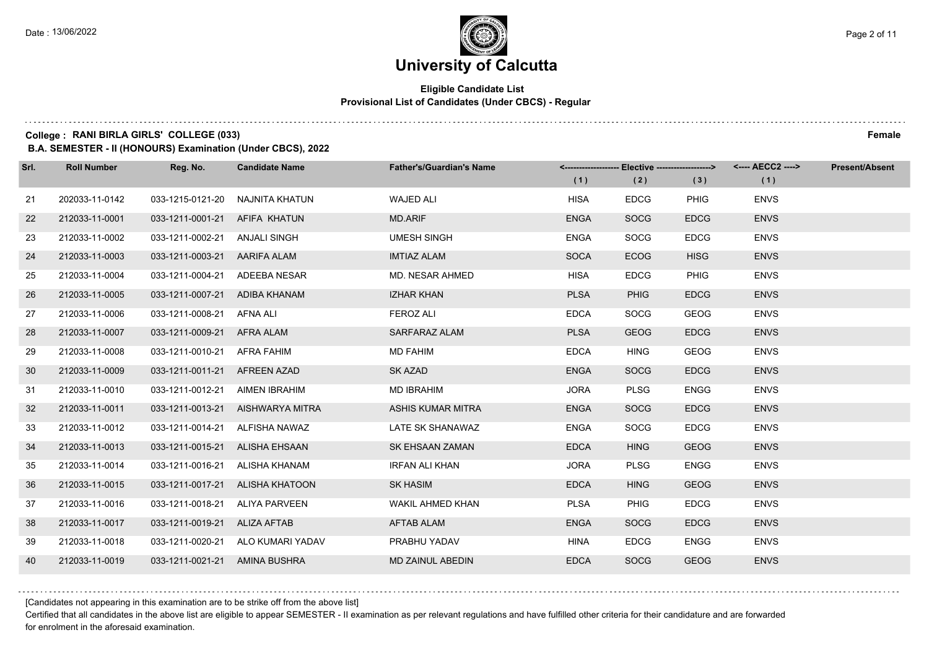## **Eligible Candidate List Provisional List of Candidates (Under CBCS) - Regular**

#### **College : RANI BIRLA GIRLS' COLLEGE (033) Female**

**B.A. SEMESTER - II (HONOURS) Examination (Under CBCS), 2022**

| Srl. | <b>Roll Number</b> | Reg. No.                        | <b>Candidate Name</b>             | <b>Father's/Guardian's Name</b> |             | <-------------------- Elective ------------------> |             |             | <b>Present/Absent</b> |
|------|--------------------|---------------------------------|-----------------------------------|---------------------------------|-------------|----------------------------------------------------|-------------|-------------|-----------------------|
|      |                    |                                 |                                   |                                 | (1)         | (2)                                                | (3)         | (1)         |                       |
| 21   | 202033-11-0142     | 033-1215-0121-20 NAJNITA KHATUN |                                   | <b>WAJED ALI</b>                | <b>HISA</b> | <b>EDCG</b>                                        | <b>PHIG</b> | <b>ENVS</b> |                       |
| 22   | 212033-11-0001     | 033-1211-0001-21 AFIFA KHATUN   |                                   | <b>MD.ARIF</b>                  | <b>ENGA</b> | <b>SOCG</b>                                        | <b>EDCG</b> | <b>ENVS</b> |                       |
| 23   | 212033-11-0002     | 033-1211-0002-21 ANJALI SINGH   |                                   | <b>UMESH SINGH</b>              | <b>ENGA</b> | <b>SOCG</b>                                        | <b>EDCG</b> | <b>ENVS</b> |                       |
| 24   | 212033-11-0003     | 033-1211-0003-21 AARIFA ALAM    |                                   | <b>IMTIAZ ALAM</b>              | <b>SOCA</b> | <b>ECOG</b>                                        | <b>HISG</b> | <b>ENVS</b> |                       |
| 25   | 212033-11-0004     | 033-1211-0004-21                | ADEEBA NESAR                      | MD. NESAR AHMED                 | <b>HISA</b> | <b>EDCG</b>                                        | <b>PHIG</b> | <b>ENVS</b> |                       |
| 26   | 212033-11-0005     | 033-1211-0007-21 ADIBA KHANAM   |                                   | <b>IZHAR KHAN</b>               | <b>PLSA</b> | <b>PHIG</b>                                        | <b>EDCG</b> | <b>ENVS</b> |                       |
| 27   | 212033-11-0006     | 033-1211-0008-21 AFNA ALI       |                                   | <b>FEROZ ALI</b>                | <b>EDCA</b> | <b>SOCG</b>                                        | <b>GEOG</b> | <b>ENVS</b> |                       |
| 28   | 212033-11-0007     | 033-1211-0009-21 AFRA ALAM      |                                   | SARFARAZ ALAM                   | <b>PLSA</b> | <b>GEOG</b>                                        | <b>EDCG</b> | <b>ENVS</b> |                       |
| 29   | 212033-11-0008     | 033-1211-0010-21 AFRA FAHIM     |                                   | <b>MD FAHIM</b>                 | <b>EDCA</b> | <b>HING</b>                                        | <b>GEOG</b> | <b>ENVS</b> |                       |
| 30   | 212033-11-0009     | 033-1211-0011-21 AFREEN AZAD    |                                   | SK AZAD                         | <b>ENGA</b> | <b>SOCG</b>                                        | <b>EDCG</b> | <b>ENVS</b> |                       |
| 31   | 212033-11-0010     | 033-1211-0012-21 AIMEN IBRAHIM  |                                   | <b>MD IBRAHIM</b>               | <b>JORA</b> | <b>PLSG</b>                                        | <b>ENGG</b> | <b>ENVS</b> |                       |
| 32   | 212033-11-0011     |                                 | 033-1211-0013-21 AISHWARYA MITRA  | <b>ASHIS KUMAR MITRA</b>        | <b>ENGA</b> | <b>SOCG</b>                                        | <b>EDCG</b> | <b>ENVS</b> |                       |
| 33   | 212033-11-0012     | 033-1211-0014-21 ALFISHA NAWAZ  |                                   | LATE SK SHANAWAZ                | <b>ENGA</b> | <b>SOCG</b>                                        | <b>EDCG</b> | <b>ENVS</b> |                       |
| 34   | 212033-11-0013     | 033-1211-0015-21 ALISHA EHSAAN  |                                   | SK EHSAAN ZAMAN                 | <b>EDCA</b> | <b>HING</b>                                        | <b>GEOG</b> | <b>ENVS</b> |                       |
| 35   | 212033-11-0014     | 033-1211-0016-21 ALISHA KHANAM  |                                   | <b>IRFAN ALI KHAN</b>           | <b>JORA</b> | <b>PLSG</b>                                        | <b>ENGG</b> | <b>ENVS</b> |                       |
| 36   | 212033-11-0015     |                                 | 033-1211-0017-21 ALISHA KHATOON   | <b>SK HASIM</b>                 | <b>EDCA</b> | <b>HING</b>                                        | <b>GEOG</b> | <b>ENVS</b> |                       |
| 37   | 212033-11-0016     | 033-1211-0018-21                | ALIYA PARVEEN                     | <b>WAKIL AHMED KHAN</b>         | <b>PLSA</b> | <b>PHIG</b>                                        | <b>EDCG</b> | <b>ENVS</b> |                       |
| 38   | 212033-11-0017     | 033-1211-0019-21 ALIZA AFTAB    |                                   | <b>AFTAB ALAM</b>               | <b>ENGA</b> | <b>SOCG</b>                                        | <b>EDCG</b> | <b>ENVS</b> |                       |
| 39   | 212033-11-0018     |                                 | 033-1211-0020-21 ALO KUMARI YADAV | PRABHU YADAV                    | <b>HINA</b> | <b>EDCG</b>                                        | <b>ENGG</b> | <b>ENVS</b> |                       |
| 40   | 212033-11-0019     | 033-1211-0021-21 AMINA BUSHRA   |                                   | MD ZAINUL ABEDIN                | <b>EDCA</b> | <b>SOCG</b>                                        | <b>GEOG</b> | <b>ENVS</b> |                       |

[Candidates not appearing in this examination are to be strike off from the above list]

Certified that all candidates in the above list are eligible to appear SEMESTER - II examination as per relevant regulations and have fulfilled other criteria for their candidature and are forwarded for enrolment in the aforesaid examination.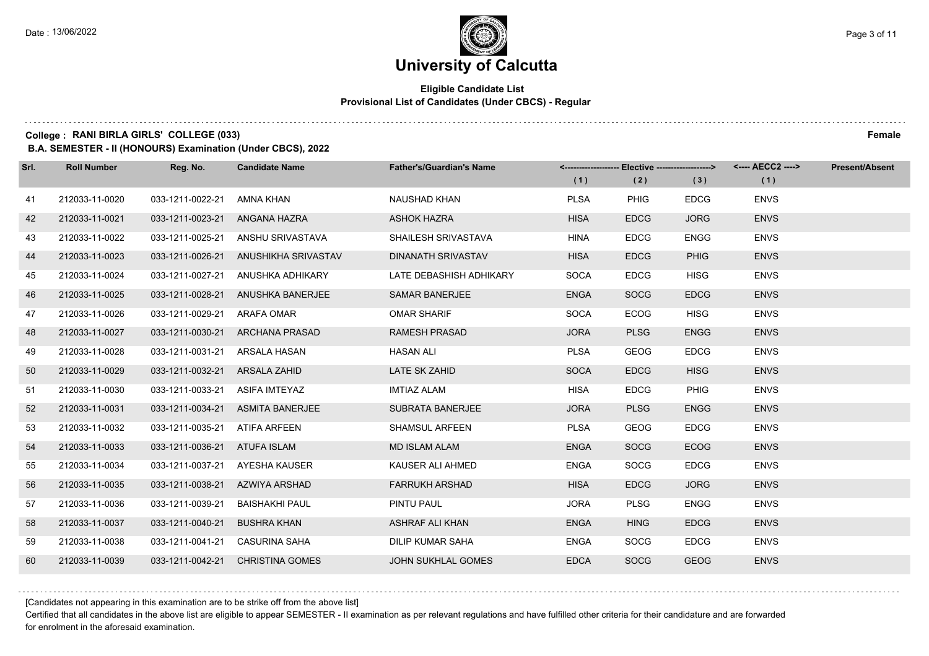## **Eligible Candidate List Provisional List of Candidates (Under CBCS) - Regular**

#### **College : RANI BIRLA GIRLS' COLLEGE (033) Female**

**B.A. SEMESTER - II (HONOURS) Examination (Under CBCS), 2022**

| Srl. | <b>Roll Number</b> | Reg. No.                       | <b>Candidate Name</b>             | <b>Father's/Guardian's Name</b> |             | <------------------- Elective ------------------> |             | <---- AECC2 ----> | <b>Present/Absent</b> |
|------|--------------------|--------------------------------|-----------------------------------|---------------------------------|-------------|---------------------------------------------------|-------------|-------------------|-----------------------|
|      |                    |                                |                                   |                                 | (1)         | (2)                                               | (3)         | (1)               |                       |
| 41   | 212033-11-0020     | 033-1211-0022-21               | AMNA KHAN                         | <b>NAUSHAD KHAN</b>             | <b>PLSA</b> | <b>PHIG</b>                                       | <b>EDCG</b> | <b>ENVS</b>       |                       |
| 42   | 212033-11-0021     | 033-1211-0023-21               | ANGANA HAZRA                      | <b>ASHOK HAZRA</b>              | <b>HISA</b> | <b>EDCG</b>                                       | <b>JORG</b> | <b>ENVS</b>       |                       |
| 43   | 212033-11-0022     |                                | 033-1211-0025-21 ANSHU SRIVASTAVA | SHAILESH SRIVASTAVA             | <b>HINA</b> | <b>EDCG</b>                                       | <b>ENGG</b> | <b>ENVS</b>       |                       |
| 44   | 212033-11-0023     | 033-1211-0026-21               | ANUSHIKHA SRIVASTAV               | <b>DINANATH SRIVASTAV</b>       | <b>HISA</b> | <b>EDCG</b>                                       | <b>PHIG</b> | <b>ENVS</b>       |                       |
| 45   | 212033-11-0024     | 033-1211-0027-21               | ANUSHKA ADHIKARY                  | LATE DEBASHISH ADHIKARY         | <b>SOCA</b> | <b>EDCG</b>                                       | <b>HISG</b> | <b>ENVS</b>       |                       |
| 46   | 212033-11-0025     | 033-1211-0028-21               | ANUSHKA BANERJEE                  | <b>SAMAR BANERJEE</b>           | <b>ENGA</b> | <b>SOCG</b>                                       | <b>EDCG</b> | <b>ENVS</b>       |                       |
| 47   | 212033-11-0026     | 033-1211-0029-21               | ARAFA OMAR                        | <b>OMAR SHARIF</b>              | <b>SOCA</b> | <b>ECOG</b>                                       | <b>HISG</b> | <b>ENVS</b>       |                       |
| 48   | 212033-11-0027     |                                | 033-1211-0030-21 ARCHANA PRASAD   | <b>RAMESH PRASAD</b>            | <b>JORA</b> | <b>PLSG</b>                                       | <b>ENGG</b> | <b>ENVS</b>       |                       |
| 49   | 212033-11-0028     | 033-1211-0031-21               | ARSALA HASAN                      | <b>HASAN ALI</b>                | <b>PLSA</b> | <b>GEOG</b>                                       | <b>EDCG</b> | <b>ENVS</b>       |                       |
| 50   | 212033-11-0029     | 033-1211-0032-21               | ARSALA ZAHID                      | LATE SK ZAHID                   | <b>SOCA</b> | <b>EDCG</b>                                       | <b>HISG</b> | <b>ENVS</b>       |                       |
| 51   | 212033-11-0030     | 033-1211-0033-21 ASIFA IMTEYAZ |                                   | <b>IMTIAZ ALAM</b>              | <b>HISA</b> | <b>EDCG</b>                                       | <b>PHIG</b> | <b>ENVS</b>       |                       |
| 52   | 212033-11-0031     |                                | 033-1211-0034-21 ASMITA BANERJEE  | <b>SUBRATA BANERJEE</b>         | <b>JORA</b> | <b>PLSG</b>                                       | <b>ENGG</b> | <b>ENVS</b>       |                       |
| 53   | 212033-11-0032     | 033-1211-0035-21               | ATIFA ARFEEN                      | <b>SHAMSUL ARFEEN</b>           | <b>PLSA</b> | <b>GEOG</b>                                       | <b>EDCG</b> | <b>ENVS</b>       |                       |
| 54   | 212033-11-0033     | 033-1211-0036-21               | ATUFA ISLAM                       | <b>MD ISLAM ALAM</b>            | <b>ENGA</b> | <b>SOCG</b>                                       | <b>ECOG</b> | <b>ENVS</b>       |                       |
| 55   | 212033-11-0034     | 033-1211-0037-21               | AYESHA KAUSER                     | KAUSER ALI AHMED                | <b>ENGA</b> | SOCG                                              | <b>EDCG</b> | <b>ENVS</b>       |                       |
| 56   | 212033-11-0035     | 033-1211-0038-21               | AZWIYA ARSHAD                     | <b>FARRUKH ARSHAD</b>           | <b>HISA</b> | <b>EDCG</b>                                       | <b>JORG</b> | <b>ENVS</b>       |                       |
| 57   | 212033-11-0036     | 033-1211-0039-21               | <b>BAISHAKHI PAUL</b>             | PINTU PAUL                      | <b>JORA</b> | <b>PLSG</b>                                       | <b>ENGG</b> | <b>ENVS</b>       |                       |
| 58   | 212033-11-0037     | 033-1211-0040-21               | <b>BUSHRA KHAN</b>                | ASHRAF ALI KHAN                 | <b>ENGA</b> | <b>HING</b>                                       | <b>EDCG</b> | <b>ENVS</b>       |                       |
| 59   | 212033-11-0038     | 033-1211-0041-21               | <b>CASURINA SAHA</b>              | DILIP KUMAR SAHA                | <b>ENGA</b> | <b>SOCG</b>                                       | <b>EDCG</b> | <b>ENVS</b>       |                       |
| 60   | 212033-11-0039     | 033-1211-0042-21               | <b>CHRISTINA GOMES</b>            | <b>JOHN SUKHLAL GOMES</b>       | <b>EDCA</b> | <b>SOCG</b>                                       | <b>GEOG</b> | <b>ENVS</b>       |                       |

[Candidates not appearing in this examination are to be strike off from the above list]

Certified that all candidates in the above list are eligible to appear SEMESTER - II examination as per relevant regulations and have fulfilled other criteria for their candidature and are forwarded for enrolment in the aforesaid examination.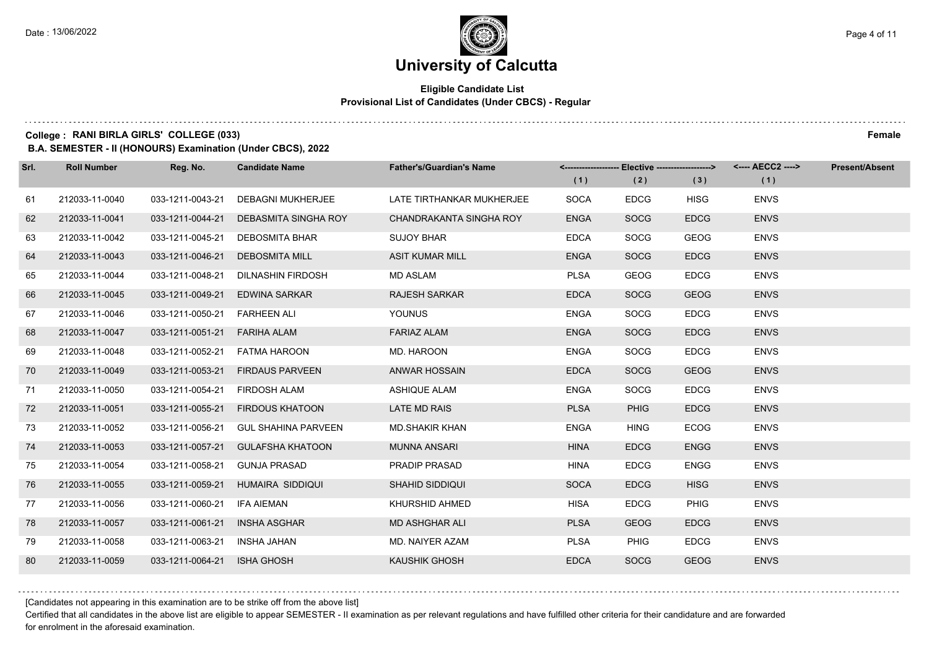#### **Eligible Candidate List Provisional List of Candidates (Under CBCS) - Regular**

**College : RANI BIRLA GIRLS' COLLEGE (033) Female**

**B.A. SEMESTER - II (HONOURS) Examination (Under CBCS), 2022**

| Srl. | <b>Roll Number</b> | Reg. No.         | <b>Candidate Name</b>      | <b>Father's/Guardian's Name</b> | (1)         | <------------------- Elective ------------------><br>(2) | (3)         | (1)         | <b>Present/Absent</b> |
|------|--------------------|------------------|----------------------------|---------------------------------|-------------|----------------------------------------------------------|-------------|-------------|-----------------------|
| 61   | 212033-11-0040     | 033-1211-0043-21 | <b>DEBAGNI MUKHERJEE</b>   | LATE TIRTHANKAR MUKHERJEE       | <b>SOCA</b> | <b>EDCG</b>                                              | <b>HISG</b> | <b>ENVS</b> |                       |
| 62   | 212033-11-0041     | 033-1211-0044-21 | DEBASMITA SINGHA ROY       | CHANDRAKANTA SINGHA ROY         | <b>ENGA</b> | <b>SOCG</b>                                              | <b>EDCG</b> | <b>ENVS</b> |                       |
| 63   | 212033-11-0042     | 033-1211-0045-21 | <b>DEBOSMITA BHAR</b>      | <b>SUJOY BHAR</b>               | <b>EDCA</b> | <b>SOCG</b>                                              | <b>GEOG</b> | <b>ENVS</b> |                       |
| 64   | 212033-11-0043     | 033-1211-0046-21 | <b>DEBOSMITA MILL</b>      | <b>ASIT KUMAR MILL</b>          | <b>ENGA</b> | <b>SOCG</b>                                              | <b>EDCG</b> | <b>ENVS</b> |                       |
| 65   | 212033-11-0044     | 033-1211-0048-21 | <b>DILNASHIN FIRDOSH</b>   | <b>MD ASLAM</b>                 | <b>PLSA</b> | <b>GEOG</b>                                              | <b>EDCG</b> | <b>ENVS</b> |                       |
| 66   | 212033-11-0045     | 033-1211-0049-21 | <b>EDWINA SARKAR</b>       | <b>RAJESH SARKAR</b>            | <b>EDCA</b> | <b>SOCG</b>                                              | <b>GEOG</b> | <b>ENVS</b> |                       |
| 67   | 212033-11-0046     | 033-1211-0050-21 | <b>FARHEEN ALI</b>         | <b>YOUNUS</b>                   | <b>ENGA</b> | <b>SOCG</b>                                              | <b>EDCG</b> | <b>ENVS</b> |                       |
| 68   | 212033-11-0047     | 033-1211-0051-21 | FARIHA ALAM                | <b>FARIAZ ALAM</b>              | <b>ENGA</b> | <b>SOCG</b>                                              | <b>EDCG</b> | <b>ENVS</b> |                       |
| 69   | 212033-11-0048     | 033-1211-0052-21 | FATMA HAROON               | MD. HAROON                      | <b>ENGA</b> | <b>SOCG</b>                                              | <b>EDCG</b> | <b>ENVS</b> |                       |
| 70   | 212033-11-0049     | 033-1211-0053-21 | <b>FIRDAUS PARVEEN</b>     | <b>ANWAR HOSSAIN</b>            | <b>EDCA</b> | <b>SOCG</b>                                              | <b>GEOG</b> | <b>ENVS</b> |                       |
| 71   | 212033-11-0050     | 033-1211-0054-21 | <b>FIRDOSH ALAM</b>        | <b>ASHIQUE ALAM</b>             | <b>ENGA</b> | <b>SOCG</b>                                              | <b>EDCG</b> | <b>ENVS</b> |                       |
| 72   | 212033-11-0051     | 033-1211-0055-21 | <b>FIRDOUS KHATOON</b>     | LATE MD RAIS                    | <b>PLSA</b> | <b>PHIG</b>                                              | <b>EDCG</b> | <b>ENVS</b> |                       |
| 73   | 212033-11-0052     | 033-1211-0056-21 | <b>GUL SHAHINA PARVEEN</b> | <b>MD.SHAKIR KHAN</b>           | <b>ENGA</b> | <b>HING</b>                                              | <b>ECOG</b> | <b>ENVS</b> |                       |
| 74   | 212033-11-0053     | 033-1211-0057-21 | <b>GULAFSHA KHATOON</b>    | <b>MUNNA ANSARI</b>             | <b>HINA</b> | <b>EDCG</b>                                              | <b>ENGG</b> | <b>ENVS</b> |                       |
| 75   | 212033-11-0054     | 033-1211-0058-21 | <b>GUNJA PRASAD</b>        | <b>PRADIP PRASAD</b>            | <b>HINA</b> | <b>EDCG</b>                                              | <b>ENGG</b> | <b>ENVS</b> |                       |
| 76   | 212033-11-0055     | 033-1211-0059-21 | HUMAIRA SIDDIQUI           | <b>SHAHID SIDDIQUI</b>          | <b>SOCA</b> | <b>EDCG</b>                                              | <b>HISG</b> | <b>ENVS</b> |                       |
| 77   | 212033-11-0056     | 033-1211-0060-21 | IFA AIEMAN                 | KHURSHID AHMED                  | <b>HISA</b> | <b>EDCG</b>                                              | <b>PHIG</b> | <b>ENVS</b> |                       |
| 78   | 212033-11-0057     | 033-1211-0061-21 | <b>INSHA ASGHAR</b>        | <b>MD ASHGHAR ALI</b>           | <b>PLSA</b> | <b>GEOG</b>                                              | <b>EDCG</b> | <b>ENVS</b> |                       |
| 79   | 212033-11-0058     | 033-1211-0063-21 | <b>INSHA JAHAN</b>         | MD. NAIYER AZAM                 | <b>PLSA</b> | <b>PHIG</b>                                              | <b>EDCG</b> | <b>ENVS</b> |                       |
| 80   | 212033-11-0059     | 033-1211-0064-21 | <b>ISHA GHOSH</b>          | <b>KAUSHIK GHOSH</b>            | <b>EDCA</b> | <b>SOCG</b>                                              | <b>GEOG</b> | <b>ENVS</b> |                       |

[Candidates not appearing in this examination are to be strike off from the above list]

Certified that all candidates in the above list are eligible to appear SEMESTER - II examination as per relevant regulations and have fulfilled other criteria for their candidature and are forwarded for enrolment in the aforesaid examination.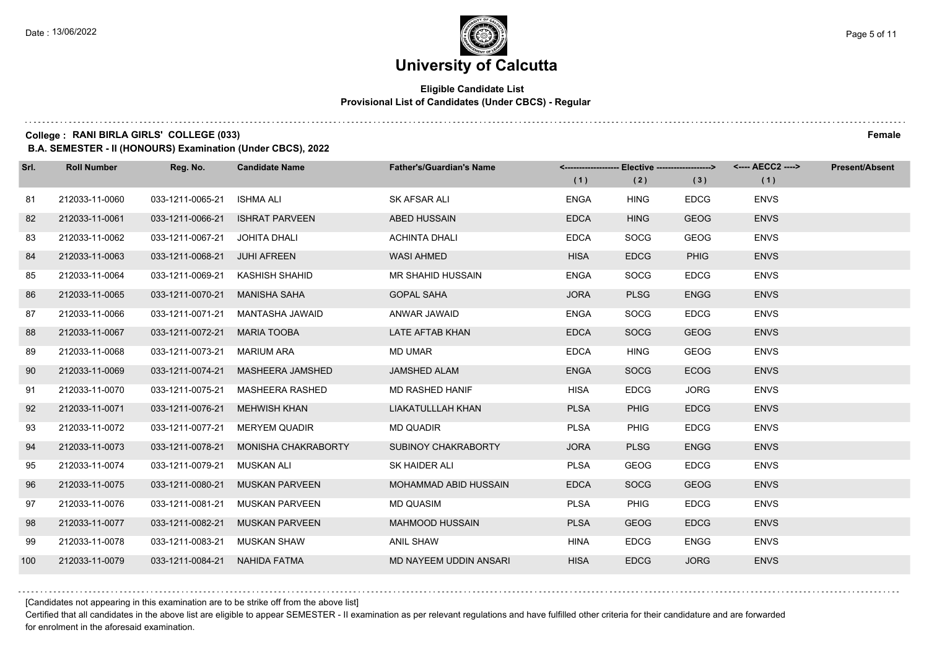## **Eligible Candidate List Provisional List of Candidates (Under CBCS) - Regular**

#### **College : RANI BIRLA GIRLS' COLLEGE (033) Female**

**B.A. SEMESTER - II (HONOURS) Examination (Under CBCS), 2022**

| Srl. | <b>Roll Number</b> | Reg. No.                     | <b>Candidate Name</b> | <b>Father's/Guardian's Name</b> | (1)         | <------------------- Elective -------------------><br>(2) | (3)         | <---- AECC2 ----><br>(1) | <b>Present/Absent</b> |
|------|--------------------|------------------------------|-----------------------|---------------------------------|-------------|-----------------------------------------------------------|-------------|--------------------------|-----------------------|
| 81   | 212033-11-0060     | 033-1211-0065-21             | <b>ISHMA ALI</b>      | SK AFSAR ALI                    | <b>ENGA</b> | <b>HING</b>                                               | <b>EDCG</b> | <b>ENVS</b>              |                       |
| 82   | 212033-11-0061     | 033-1211-0066-21             | <b>ISHRAT PARVEEN</b> | <b>ABED HUSSAIN</b>             | <b>EDCA</b> | <b>HING</b>                                               | <b>GEOG</b> | <b>ENVS</b>              |                       |
| 83   | 212033-11-0062     | 033-1211-0067-21             | JOHITA DHALI          | <b>ACHINTA DHALI</b>            | <b>EDCA</b> | SOCG                                                      | <b>GEOG</b> | <b>ENVS</b>              |                       |
| 84   | 212033-11-0063     | 033-1211-0068-21 JUHI AFREEN |                       | <b>WASI AHMED</b>               | <b>HISA</b> | <b>EDCG</b>                                               | <b>PHIG</b> | <b>ENVS</b>              |                       |
| 85   | 212033-11-0064     | 033-1211-0069-21             | KASHISH SHAHID        | <b>MR SHAHID HUSSAIN</b>        | <b>ENGA</b> | <b>SOCG</b>                                               | <b>EDCG</b> | <b>ENVS</b>              |                       |
| 86   | 212033-11-0065     | 033-1211-0070-21             | <b>MANISHA SAHA</b>   | <b>GOPAL SAHA</b>               | <b>JORA</b> | <b>PLSG</b>                                               | <b>ENGG</b> | <b>ENVS</b>              |                       |
| 87   | 212033-11-0066     | 033-1211-0071-21             | MANTASHA JAWAID       | ANWAR JAWAID                    | <b>ENGA</b> | <b>SOCG</b>                                               | <b>EDCG</b> | <b>ENVS</b>              |                       |
| 88   | 212033-11-0067     | 033-1211-0072-21             | <b>MARIA TOOBA</b>    | LATE AFTAB KHAN                 | <b>EDCA</b> | <b>SOCG</b>                                               | <b>GEOG</b> | <b>ENVS</b>              |                       |
| 89   | 212033-11-0068     | 033-1211-0073-21             | <b>MARIUM ARA</b>     | <b>MD UMAR</b>                  | <b>EDCA</b> | <b>HING</b>                                               | GEOG        | <b>ENVS</b>              |                       |
| 90   | 212033-11-0069     | 033-1211-0074-21             | MASHEERA JAMSHED      | <b>JAMSHED ALAM</b>             | <b>ENGA</b> | <b>SOCG</b>                                               | <b>ECOG</b> | <b>ENVS</b>              |                       |
| 91   | 212033-11-0070     | 033-1211-0075-21             | MASHEERA RASHED       | MD RASHED HANIF                 | <b>HISA</b> | <b>EDCG</b>                                               | <b>JORG</b> | <b>ENVS</b>              |                       |
| 92   | 212033-11-0071     | 033-1211-0076-21             | <b>MEHWISH KHAN</b>   | LIAKATULLLAH KHAN               | <b>PLSA</b> | <b>PHIG</b>                                               | <b>EDCG</b> | <b>ENVS</b>              |                       |
| 93   | 212033-11-0072     | 033-1211-0077-21             | <b>MERYEM QUADIR</b>  | <b>MD QUADIR</b>                | <b>PLSA</b> | <b>PHIG</b>                                               | <b>EDCG</b> | <b>ENVS</b>              |                       |
| 94   | 212033-11-0073     | 033-1211-0078-21             | MONISHA CHAKRABORTY   | <b>SUBINOY CHAKRABORTY</b>      | <b>JORA</b> | <b>PLSG</b>                                               | <b>ENGG</b> | <b>ENVS</b>              |                       |
| 95   | 212033-11-0074     | 033-1211-0079-21             | MUSKAN ALI            | SK HAIDER ALI                   | <b>PLSA</b> | GEOG                                                      | <b>EDCG</b> | <b>ENVS</b>              |                       |
| 96   | 212033-11-0075     | 033-1211-0080-21             | <b>MUSKAN PARVEEN</b> | MOHAMMAD ABID HUSSAIN           | <b>EDCA</b> | <b>SOCG</b>                                               | <b>GEOG</b> | <b>ENVS</b>              |                       |
| 97   | 212033-11-0076     | 033-1211-0081-21             | <b>MUSKAN PARVEEN</b> | <b>MD QUASIM</b>                | <b>PLSA</b> | <b>PHIG</b>                                               | <b>EDCG</b> | <b>ENVS</b>              |                       |
| 98   | 212033-11-0077     | 033-1211-0082-21             | <b>MUSKAN PARVEEN</b> | <b>MAHMOOD HUSSAIN</b>          | <b>PLSA</b> | <b>GEOG</b>                                               | <b>EDCG</b> | <b>ENVS</b>              |                       |
| 99   | 212033-11-0078     | 033-1211-0083-21             | MUSKAN SHAW           | ANIL SHAW                       | <b>HINA</b> | <b>EDCG</b>                                               | <b>ENGG</b> | <b>ENVS</b>              |                       |
| 100  | 212033-11-0079     | 033-1211-0084-21             | NAHIDA FATMA          | MD NAYEEM UDDIN ANSARI          | <b>HISA</b> | <b>EDCG</b>                                               | <b>JORG</b> | <b>ENVS</b>              |                       |

[Candidates not appearing in this examination are to be strike off from the above list]

Certified that all candidates in the above list are eligible to appear SEMESTER - II examination as per relevant regulations and have fulfilled other criteria for their candidature and are forwarded for enrolment in the aforesaid examination.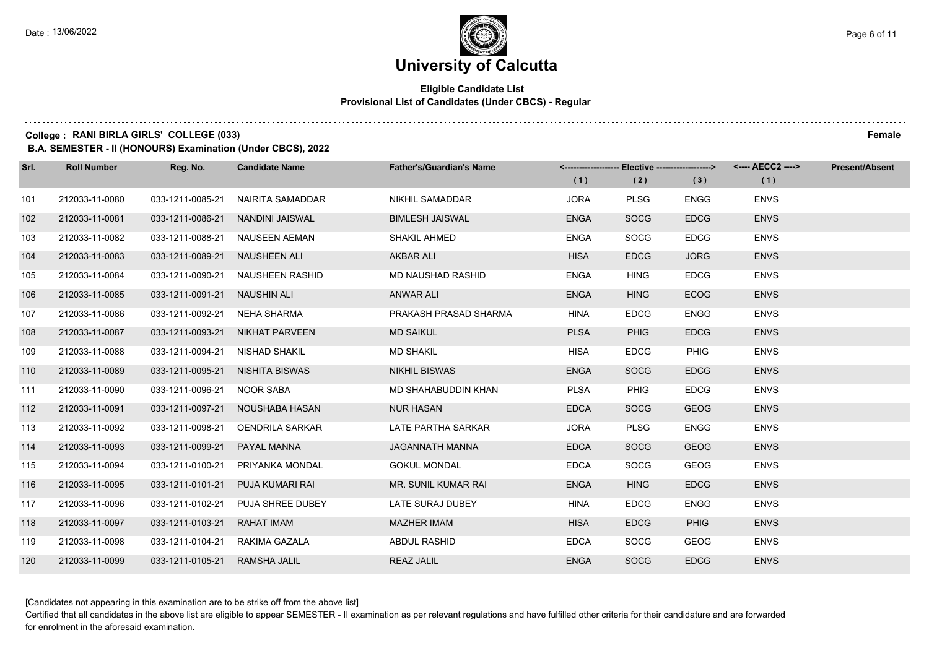## **Eligible Candidate List Provisional List of Candidates (Under CBCS) - Regular**

#### **College : RANI BIRLA GIRLS' COLLEGE (033) Female**

**B.A. SEMESTER - II (HONOURS) Examination (Under CBCS), 2022**

| Srl. | <b>Roll Number</b> | Reg. No.                       | <b>Candidate Name</b>             | <b>Father's/Guardian's Name</b> |             | <-------------------- Elective -------------------> |             | <---- AECC2 ----> | <b>Present/Absent</b> |
|------|--------------------|--------------------------------|-----------------------------------|---------------------------------|-------------|-----------------------------------------------------|-------------|-------------------|-----------------------|
|      |                    |                                |                                   |                                 | (1)         | (2)                                                 | (3)         | (1)               |                       |
| 101  | 212033-11-0080     | 033-1211-0085-21               | NAIRITA SAMADDAR                  | <b>NIKHIL SAMADDAR</b>          | <b>JORA</b> | <b>PLSG</b>                                         | <b>ENGG</b> | <b>ENVS</b>       |                       |
| 102  | 212033-11-0081     | 033-1211-0086-21               | NANDINI JAISWAL                   | <b>BIMLESH JAISWAL</b>          | <b>ENGA</b> | <b>SOCG</b>                                         | <b>EDCG</b> | <b>ENVS</b>       |                       |
| 103  | 212033-11-0082     |                                | 033-1211-0088-21 NAUSEEN AEMAN    | <b>SHAKIL AHMED</b>             | <b>ENGA</b> | SOCG                                                | <b>EDCG</b> | <b>ENVS</b>       |                       |
| 104  | 212033-11-0083     | 033-1211-0089-21 NAUSHEEN ALI  |                                   | <b>AKBAR ALI</b>                | <b>HISA</b> | <b>EDCG</b>                                         | <b>JORG</b> | <b>ENVS</b>       |                       |
| 105  | 212033-11-0084     |                                | 033-1211-0090-21 NAUSHEEN RASHID  | MD NAUSHAD RASHID               | <b>ENGA</b> | <b>HING</b>                                         | <b>EDCG</b> | <b>ENVS</b>       |                       |
| 106  | 212033-11-0085     | 033-1211-0091-21               | <b>NAUSHIN ALI</b>                | <b>ANWAR ALI</b>                | <b>ENGA</b> | <b>HING</b>                                         | <b>ECOG</b> | <b>ENVS</b>       |                       |
| 107  | 212033-11-0086     | 033-1211-0092-21 NEHA SHARMA   |                                   | PRAKASH PRASAD SHARMA           | <b>HINA</b> | <b>EDCG</b>                                         | <b>ENGG</b> | <b>ENVS</b>       |                       |
| 108  | 212033-11-0087     |                                | 033-1211-0093-21 NIKHAT PARVEEN   | <b>MD SAIKUL</b>                | <b>PLSA</b> | <b>PHIG</b>                                         | <b>EDCG</b> | <b>ENVS</b>       |                       |
| 109  | 212033-11-0088     | 033-1211-0094-21               | NISHAD SHAKIL                     | <b>MD SHAKIL</b>                | <b>HISA</b> | <b>EDCG</b>                                         | <b>PHIG</b> | <b>ENVS</b>       |                       |
| 110  | 212033-11-0089     | 033-1211-0095-21               | NISHITA BISWAS                    | <b>NIKHIL BISWAS</b>            | <b>ENGA</b> | <b>SOCG</b>                                         | <b>EDCG</b> | <b>ENVS</b>       |                       |
| 111  | 212033-11-0090     | 033-1211-0096-21 NOOR SABA     |                                   | MD SHAHABUDDIN KHAN             | <b>PLSA</b> | <b>PHIG</b>                                         | <b>EDCG</b> | <b>ENVS</b>       |                       |
| 112  | 212033-11-0091     |                                | 033-1211-0097-21 NOUSHABA HASAN   | <b>NUR HASAN</b>                | <b>EDCA</b> | <b>SOCG</b>                                         | <b>GEOG</b> | <b>ENVS</b>       |                       |
| 113  | 212033-11-0092     | 033-1211-0098-21               | OENDRILA SARKAR                   | LATE PARTHA SARKAR              | <b>JORA</b> | <b>PLSG</b>                                         | ENGG        | <b>ENVS</b>       |                       |
| 114  | 212033-11-0093     | 033-1211-0099-21               | PAYAL MANNA                       | <b>JAGANNATH MANNA</b>          | <b>EDCA</b> | <b>SOCG</b>                                         | <b>GEOG</b> | <b>ENVS</b>       |                       |
| 115  | 212033-11-0094     |                                | 033-1211-0100-21 PRIYANKA MONDAL  | <b>GOKUL MONDAL</b>             | <b>EDCA</b> | <b>SOCG</b>                                         | <b>GEOG</b> | <b>ENVS</b>       |                       |
| 116  | 212033-11-0095     |                                | 033-1211-0101-21 PUJA KUMARI RAI  | MR. SUNIL KUMAR RAI             | <b>ENGA</b> | <b>HING</b>                                         | <b>EDCG</b> | <b>ENVS</b>       |                       |
| 117  | 212033-11-0096     |                                | 033-1211-0102-21 PUJA SHREE DUBEY | LATE SURAJ DUBEY                | <b>HINA</b> | <b>EDCG</b>                                         | <b>ENGG</b> | <b>ENVS</b>       |                       |
| 118  | 212033-11-0097     | 033-1211-0103-21 RAHAT IMAM    |                                   | <b>MAZHER IMAM</b>              | <b>HISA</b> | <b>EDCG</b>                                         | <b>PHIG</b> | <b>ENVS</b>       |                       |
| 119  | 212033-11-0098     | 033-1211-0104-21 RAKIMA GAZALA |                                   | ABDUL RASHID                    | <b>EDCA</b> | <b>SOCG</b>                                         | <b>GEOG</b> | <b>ENVS</b>       |                       |
| 120  | 212033-11-0099     | 033-1211-0105-21 RAMSHA JALIL  |                                   | <b>REAZ JALIL</b>               | <b>ENGA</b> | <b>SOCG</b>                                         | <b>EDCG</b> | <b>ENVS</b>       |                       |

[Candidates not appearing in this examination are to be strike off from the above list]

Certified that all candidates in the above list are eligible to appear SEMESTER - II examination as per relevant regulations and have fulfilled other criteria for their candidature and are forwarded for enrolment in the aforesaid examination.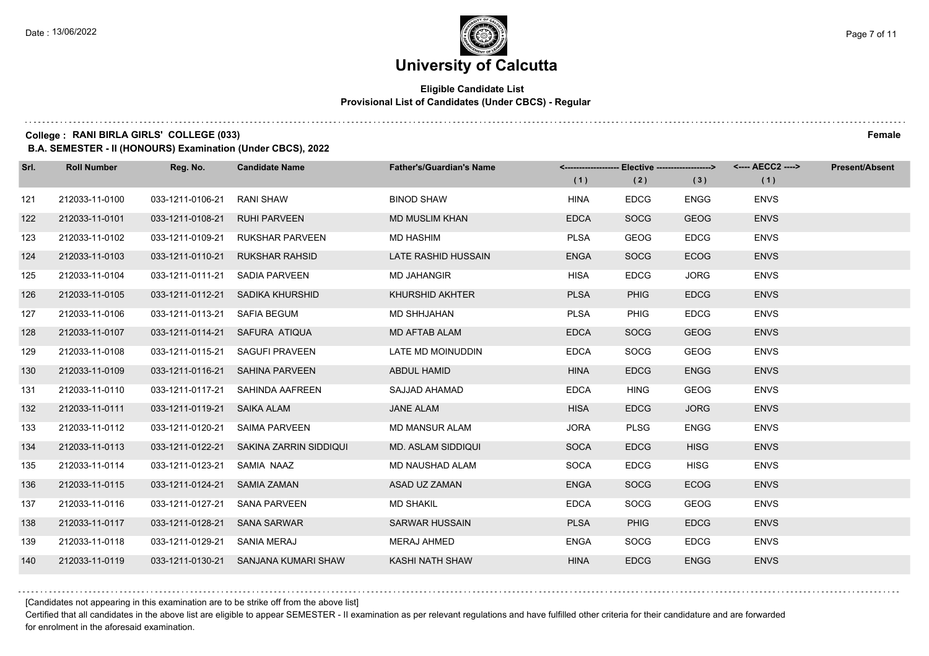## **Eligible Candidate List Provisional List of Candidates (Under CBCS) - Regular**

**College : RANI BIRLA GIRLS' COLLEGE (033) Female**

**B.A. SEMESTER - II (HONOURS) Examination (Under CBCS), 2022**

| Srl. | <b>Roll Number</b> | Reg. No.                     | <b>Candidate Name</b>                   | <b>Father's/Guardian's Name</b> |             | <-------------------- Elective ------------------> |             | <---- AECC2 ----> | <b>Present/Absent</b> |
|------|--------------------|------------------------------|-----------------------------------------|---------------------------------|-------------|----------------------------------------------------|-------------|-------------------|-----------------------|
|      |                    |                              |                                         |                                 | (1)         | (2)                                                | (3)         | (1)               |                       |
| 121  | 212033-11-0100     | 033-1211-0106-21             | RANI SHAW                               | <b>BINOD SHAW</b>               | <b>HINA</b> | <b>EDCG</b>                                        | <b>ENGG</b> | <b>ENVS</b>       |                       |
| 122  | 212033-11-0101     | 033-1211-0108-21             | <b>RUHI PARVEEN</b>                     | <b>MD MUSLIM KHAN</b>           | <b>EDCA</b> | <b>SOCG</b>                                        | <b>GEOG</b> | <b>ENVS</b>       |                       |
| 123  | 212033-11-0102     | 033-1211-0109-21             | <b>RUKSHAR PARVEEN</b>                  | <b>MD HASHIM</b>                | <b>PLSA</b> | GEOG                                               | <b>EDCG</b> | <b>ENVS</b>       |                       |
| 124  | 212033-11-0103     | 033-1211-0110-21             | RUKSHAR RAHSID                          | LATE RASHID HUSSAIN             | <b>ENGA</b> | <b>SOCG</b>                                        | <b>ECOG</b> | <b>ENVS</b>       |                       |
| 125  | 212033-11-0104     | 033-1211-0111-21             | SADIA PARVEEN                           | <b>MD JAHANGIR</b>              | <b>HISA</b> | <b>EDCG</b>                                        | <b>JORG</b> | <b>ENVS</b>       |                       |
| 126  | 212033-11-0105     |                              | 033-1211-0112-21 SADIKA KHURSHID        | <b>KHURSHID AKHTER</b>          | <b>PLSA</b> | <b>PHIG</b>                                        | <b>EDCG</b> | <b>ENVS</b>       |                       |
| 127  | 212033-11-0106     | 033-1211-0113-21 SAFIA BEGUM |                                         | MD SHHJAHAN                     | <b>PLSA</b> | <b>PHIG</b>                                        | <b>EDCG</b> | <b>ENVS</b>       |                       |
| 128  | 212033-11-0107     |                              | 033-1211-0114-21 SAFURA ATIQUA          | MD AFTAB ALAM                   | <b>EDCA</b> | <b>SOCG</b>                                        | <b>GEOG</b> | <b>ENVS</b>       |                       |
| 129  | 212033-11-0108     | 033-1211-0115-21             | SAGUFI PRAVEEN                          | LATE MD MOINUDDIN               | <b>EDCA</b> | SOCG                                               | <b>GEOG</b> | <b>ENVS</b>       |                       |
| 130  | 212033-11-0109     |                              | 033-1211-0116-21 SAHINA PARVEEN         | ABDUL HAMID                     | <b>HINA</b> | <b>EDCG</b>                                        | <b>ENGG</b> | <b>ENVS</b>       |                       |
| 131  | 212033-11-0110     |                              | 033-1211-0117-21 SAHINDA AAFREEN        | SAJJAD AHAMAD                   | <b>EDCA</b> | <b>HING</b>                                        | <b>GEOG</b> | <b>ENVS</b>       |                       |
| 132  | 212033-11-0111     | 033-1211-0119-21 SAIKA ALAM  |                                         | <b>JANE ALAM</b>                | <b>HISA</b> | <b>EDCG</b>                                        | <b>JORG</b> | <b>ENVS</b>       |                       |
| 133  | 212033-11-0112     | 033-1211-0120-21             | SAIMA PARVEEN                           | <b>MD MANSUR ALAM</b>           | <b>JORA</b> | <b>PLSG</b>                                        | <b>ENGG</b> | <b>ENVS</b>       |                       |
| 134  | 212033-11-0113     |                              | 033-1211-0122-21 SAKINA ZARRIN SIDDIQUI | <b>MD. ASLAM SIDDIQUI</b>       | <b>SOCA</b> | <b>EDCG</b>                                        | <b>HISG</b> | <b>ENVS</b>       |                       |
| 135  | 212033-11-0114     | 033-1211-0123-21 SAMIA NAAZ  |                                         | MD NAUSHAD ALAM                 | <b>SOCA</b> | <b>EDCG</b>                                        | <b>HISG</b> | <b>ENVS</b>       |                       |
| 136  | 212033-11-0115     | 033-1211-0124-21 SAMIA ZAMAN |                                         | ASAD UZ ZAMAN                   | <b>ENGA</b> | <b>SOCG</b>                                        | <b>ECOG</b> | <b>ENVS</b>       |                       |
| 137  | 212033-11-0116     | 033-1211-0127-21             | SANA PARVEEN                            | <b>MD SHAKIL</b>                | <b>EDCA</b> | <b>SOCG</b>                                        | <b>GEOG</b> | <b>ENVS</b>       |                       |
| 138  | 212033-11-0117     | 033-1211-0128-21 SANA SARWAR |                                         | <b>SARWAR HUSSAIN</b>           | <b>PLSA</b> | <b>PHIG</b>                                        | <b>EDCG</b> | <b>ENVS</b>       |                       |
| 139  | 212033-11-0118     | 033-1211-0129-21 SANIA MERAJ |                                         | MERAJ AHMED                     | <b>ENGA</b> | <b>SOCG</b>                                        | <b>EDCG</b> | <b>ENVS</b>       |                       |
| 140  | 212033-11-0119     |                              | 033-1211-0130-21 SANJANA KUMARI SHAW    | KASHI NATH SHAW                 | <b>HINA</b> | <b>EDCG</b>                                        | <b>ENGG</b> | <b>ENVS</b>       |                       |

[Candidates not appearing in this examination are to be strike off from the above list]

Certified that all candidates in the above list are eligible to appear SEMESTER - II examination as per relevant regulations and have fulfilled other criteria for their candidature and are forwarded for enrolment in the aforesaid examination.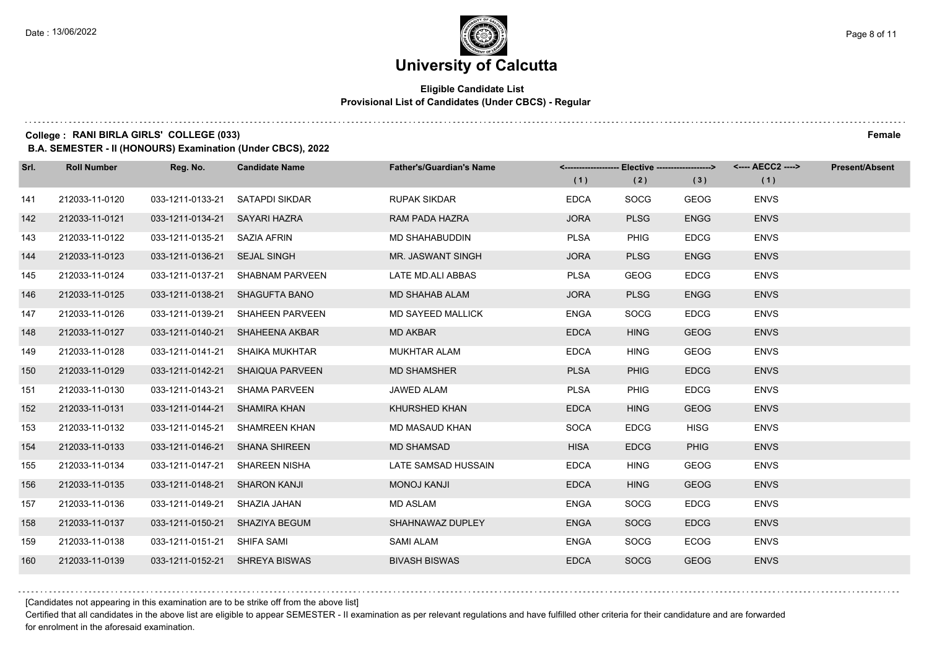## **Eligible Candidate List Provisional List of Candidates (Under CBCS) - Regular**

#### **College : RANI BIRLA GIRLS' COLLEGE (033) Female**

**B.A. SEMESTER - II (HONOURS) Examination (Under CBCS), 2022**

| Srl. | <b>Roll Number</b> | Reg. No.                        | <b>Candidate Name</b>            | <b>Father's/Guardian's Name</b> | (1)         | (2)         | <-------------------- Elective -------------------> <---- AECC2 ----><br>(3) | (1)         | <b>Present/Absent</b> |
|------|--------------------|---------------------------------|----------------------------------|---------------------------------|-------------|-------------|------------------------------------------------------------------------------|-------------|-----------------------|
| 141  | 212033-11-0120     | 033-1211-0133-21 SATAPDI SIKDAR |                                  | <b>RUPAK SIKDAR</b>             | <b>EDCA</b> | <b>SOCG</b> | <b>GEOG</b>                                                                  | <b>ENVS</b> |                       |
| 142  | 212033-11-0121     | 033-1211-0134-21 SAYARI HAZRA   |                                  | RAM PADA HAZRA                  | <b>JORA</b> | <b>PLSG</b> | <b>ENGG</b>                                                                  | <b>ENVS</b> |                       |
| 143  | 212033-11-0122     | 033-1211-0135-21 SAZIA AFRIN    |                                  | MD SHAHABUDDIN                  | <b>PLSA</b> | PHIG        | <b>EDCG</b>                                                                  | <b>ENVS</b> |                       |
| 144  | 212033-11-0123     | 033-1211-0136-21 SEJAL SINGH    |                                  | MR. JASWANT SINGH               | <b>JORA</b> | <b>PLSG</b> | <b>ENGG</b>                                                                  | <b>ENVS</b> |                       |
| 145  | 212033-11-0124     |                                 | 033-1211-0137-21 SHABNAM PARVEEN | LATE MD.ALI ABBAS               | <b>PLSA</b> | <b>GEOG</b> | <b>EDCG</b>                                                                  | <b>ENVS</b> |                       |
| 146  | 212033-11-0125     |                                 | 033-1211-0138-21 SHAGUFTA BANO   | <b>MD SHAHAB ALAM</b>           | <b>JORA</b> | <b>PLSG</b> | <b>ENGG</b>                                                                  | <b>ENVS</b> |                       |
| 147  | 212033-11-0126     |                                 | 033-1211-0139-21 SHAHEEN PARVEEN | <b>MD SAYEED MALLICK</b>        | <b>ENGA</b> | <b>SOCG</b> | <b>EDCG</b>                                                                  | <b>ENVS</b> |                       |
| 148  | 212033-11-0127     |                                 | 033-1211-0140-21 SHAHEENA AKBAR  | <b>MD AKBAR</b>                 | <b>EDCA</b> | <b>HING</b> | <b>GEOG</b>                                                                  | <b>ENVS</b> |                       |
| 149  | 212033-11-0128     |                                 | 033-1211-0141-21 SHAIKA MUKHTAR  | <b>MUKHTAR ALAM</b>             | <b>EDCA</b> | <b>HING</b> | <b>GEOG</b>                                                                  | <b>ENVS</b> |                       |
| 150  | 212033-11-0129     |                                 | 033-1211-0142-21 SHAIQUA PARVEEN | <b>MD SHAMSHER</b>              | <b>PLSA</b> | <b>PHIG</b> | <b>EDCG</b>                                                                  | <b>ENVS</b> |                       |
| 151  | 212033-11-0130     |                                 | 033-1211-0143-21 SHAMA PARVEEN   | JAWED ALAM                      | <b>PLSA</b> | <b>PHIG</b> | <b>EDCG</b>                                                                  | <b>ENVS</b> |                       |
| 152  | 212033-11-0131     | 033-1211-0144-21 SHAMIRA KHAN   |                                  | KHURSHED KHAN                   | <b>EDCA</b> | <b>HING</b> | <b>GEOG</b>                                                                  | <b>ENVS</b> |                       |
| 153  | 212033-11-0132     |                                 | 033-1211-0145-21 SHAMREEN KHAN   | MD MASAUD KHAN                  | <b>SOCA</b> | <b>EDCG</b> | <b>HISG</b>                                                                  | <b>ENVS</b> |                       |
| 154  | 212033-11-0133     | 033-1211-0146-21 SHANA SHIREEN  |                                  | <b>MD SHAMSAD</b>               | <b>HISA</b> | <b>EDCG</b> | <b>PHIG</b>                                                                  | <b>ENVS</b> |                       |
| 155  | 212033-11-0134     | 033-1211-0147-21 SHAREEN NISHA  |                                  | LATE SAMSAD HUSSAIN             | <b>EDCA</b> | <b>HING</b> | <b>GEOG</b>                                                                  | <b>ENVS</b> |                       |
| 156  | 212033-11-0135     | 033-1211-0148-21 SHARON KANJI   |                                  | <b>MONOJ KANJI</b>              | <b>EDCA</b> | <b>HING</b> | <b>GEOG</b>                                                                  | <b>ENVS</b> |                       |
| 157  | 212033-11-0136     | 033-1211-0149-21 SHAZIA JAHAN   |                                  | <b>MD ASLAM</b>                 | <b>ENGA</b> | <b>SOCG</b> | <b>EDCG</b>                                                                  | <b>ENVS</b> |                       |
| 158  | 212033-11-0137     | 033-1211-0150-21 SHAZIYA BEGUM  |                                  | SHAHNAWAZ DUPLEY                | <b>ENGA</b> | <b>SOCG</b> | <b>EDCG</b>                                                                  | <b>ENVS</b> |                       |
| 159  | 212033-11-0138     | 033-1211-0151-21 SHIFA SAMI     |                                  | <b>SAMI ALAM</b>                | <b>ENGA</b> | <b>SOCG</b> | <b>ECOG</b>                                                                  | <b>ENVS</b> |                       |
| 160  | 212033-11-0139     | 033-1211-0152-21 SHREYA BISWAS  |                                  | <b>BIVASH BISWAS</b>            | <b>EDCA</b> | <b>SOCG</b> | <b>GEOG</b>                                                                  | <b>ENVS</b> |                       |

[Candidates not appearing in this examination are to be strike off from the above list]

Certified that all candidates in the above list are eligible to appear SEMESTER - II examination as per relevant regulations and have fulfilled other criteria for their candidature and are forwarded for enrolment in the aforesaid examination.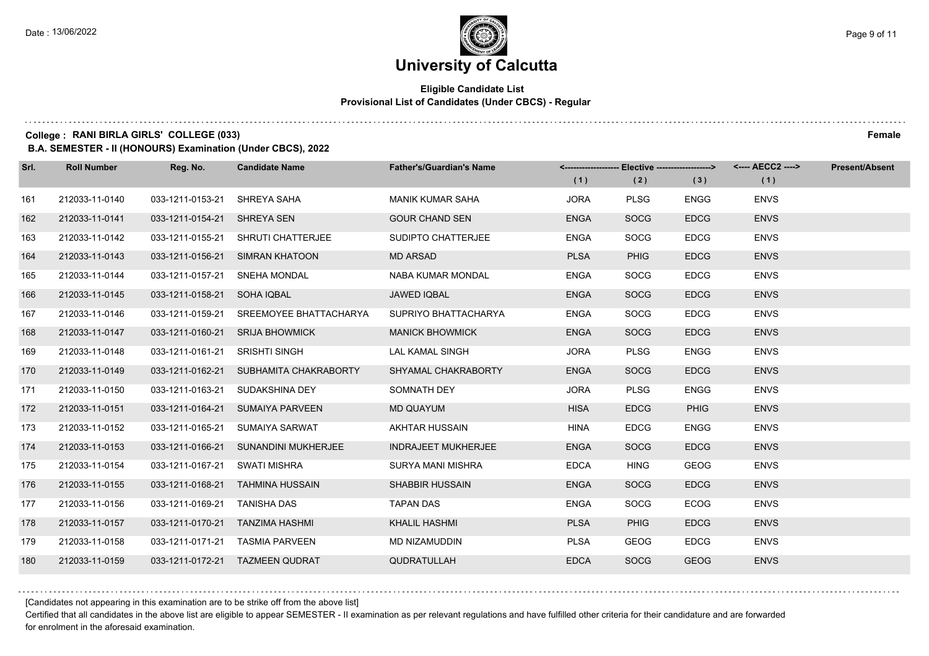## **Eligible Candidate List Provisional List of Candidates (Under CBCS) - Regular**

**College : RANI BIRLA GIRLS' COLLEGE (033) Female**

**B.A. SEMESTER - II (HONOURS) Examination (Under CBCS), 2022**

| Srl. | <b>Roll Number</b> | Reg. No.                        | <b>Candidate Name</b>                   | <b>Father's/Guardian's Name</b> |             | <-------------------- Elective -------------------> |             |             | <b>Present/Absent</b> |
|------|--------------------|---------------------------------|-----------------------------------------|---------------------------------|-------------|-----------------------------------------------------|-------------|-------------|-----------------------|
|      |                    |                                 |                                         |                                 | (1)         | (2)                                                 | (3)         | (1)         |                       |
| 161  | 212033-11-0140     | 033-1211-0153-21 SHREYA SAHA    |                                         | <b>MANIK KUMAR SAHA</b>         | <b>JORA</b> | <b>PLSG</b>                                         | <b>ENGG</b> | <b>ENVS</b> |                       |
| 162  | 212033-11-0141     | 033-1211-0154-21 SHREYA SEN     |                                         | <b>GOUR CHAND SEN</b>           | <b>ENGA</b> | <b>SOCG</b>                                         | <b>EDCG</b> | <b>ENVS</b> |                       |
| 163  | 212033-11-0142     |                                 | 033-1211-0155-21 SHRUTI CHATTERJEE      | SUDIPTO CHATTERJEE              | <b>ENGA</b> | SOCG                                                | <b>EDCG</b> | <b>ENVS</b> |                       |
| 164  | 212033-11-0143     |                                 | 033-1211-0156-21 SIMRAN KHATOON         | <b>MD ARSAD</b>                 | <b>PLSA</b> | <b>PHIG</b>                                         | <b>EDCG</b> | <b>ENVS</b> |                       |
| 165  | 212033-11-0144     | 033-1211-0157-21 SNEHA MONDAL   |                                         | <b>NABA KUMAR MONDAL</b>        | <b>ENGA</b> | SOCG                                                | <b>EDCG</b> | <b>ENVS</b> |                       |
| 166  | 212033-11-0145     | 033-1211-0158-21 SOHA IQBAL     |                                         | <b>JAWED IQBAL</b>              | <b>ENGA</b> | <b>SOCG</b>                                         | <b>EDCG</b> | <b>ENVS</b> |                       |
| 167  | 212033-11-0146     |                                 | 033-1211-0159-21 SREEMOYEE BHATTACHARYA | SUPRIYO BHATTACHARYA            | <b>ENGA</b> | SOCG                                                | <b>EDCG</b> | <b>ENVS</b> |                       |
| 168  | 212033-11-0147     |                                 | 033-1211-0160-21 SRIJA BHOWMICK         | <b>MANICK BHOWMICK</b>          | <b>ENGA</b> | <b>SOCG</b>                                         | <b>EDCG</b> | <b>ENVS</b> |                       |
| 169  | 212033-11-0148     | 033-1211-0161-21 SRISHTI SINGH  |                                         | LAL KAMAL SINGH                 | <b>JORA</b> | <b>PLSG</b>                                         | <b>ENGG</b> | <b>ENVS</b> |                       |
| 170  | 212033-11-0149     |                                 | 033-1211-0162-21 SUBHAMITA CHAKRABORTY  | SHYAMAL CHAKRABORTY             | <b>ENGA</b> | <b>SOCG</b>                                         | <b>EDCG</b> | <b>ENVS</b> |                       |
| 171  | 212033-11-0150     |                                 | 033-1211-0163-21 SUDAKSHINA DEY         | SOMNATH DEY                     | <b>JORA</b> | <b>PLSG</b>                                         | <b>ENGG</b> | <b>ENVS</b> |                       |
| 172  | 212033-11-0151     |                                 | 033-1211-0164-21 SUMAIYA PARVEEN        | <b>MD QUAYUM</b>                | <b>HISA</b> | <b>EDCG</b>                                         | <b>PHIG</b> | <b>ENVS</b> |                       |
| 173  | 212033-11-0152     |                                 | 033-1211-0165-21 SUMAIYA SARWAT         | AKHTAR HUSSAIN                  | <b>HINA</b> | <b>EDCG</b>                                         | <b>ENGG</b> | <b>ENVS</b> |                       |
| 174  | 212033-11-0153     |                                 | 033-1211-0166-21 SUNANDINI MUKHERJEE    | <b>INDRAJEET MUKHERJEE</b>      | <b>ENGA</b> | <b>SOCG</b>                                         | <b>EDCG</b> | <b>ENVS</b> |                       |
| 175  | 212033-11-0154     | 033-1211-0167-21 SWATI MISHRA   |                                         | SURYA MANI MISHRA               | <b>EDCA</b> | <b>HING</b>                                         | <b>GEOG</b> | <b>ENVS</b> |                       |
| 176  | 212033-11-0155     |                                 | 033-1211-0168-21 TAHMINA HUSSAIN        | <b>SHABBIR HUSSAIN</b>          | <b>ENGA</b> | <b>SOCG</b>                                         | <b>EDCG</b> | <b>ENVS</b> |                       |
| 177  | 212033-11-0156     | 033-1211-0169-21 TANISHA DAS    |                                         | <b>TAPAN DAS</b>                | <b>ENGA</b> | SOCG                                                | <b>ECOG</b> | <b>ENVS</b> |                       |
| 178  | 212033-11-0157     | 033-1211-0170-21 TANZIMA HASHMI |                                         | <b>KHALIL HASHMI</b>            | <b>PLSA</b> | <b>PHIG</b>                                         | <b>EDCG</b> | <b>ENVS</b> |                       |
| 179  | 212033-11-0158     |                                 | 033-1211-0171-21 TASMIA PARVEEN         | MD NIZAMUDDIN                   | <b>PLSA</b> | GEOG                                                | <b>EDCG</b> | <b>ENVS</b> |                       |
| 180  | 212033-11-0159     |                                 | 033-1211-0172-21 TAZMEEN QUDRAT         | <b>QUDRATULLAH</b>              | <b>EDCA</b> | <b>SOCG</b>                                         | <b>GEOG</b> | <b>ENVS</b> |                       |

[Candidates not appearing in this examination are to be strike off from the above list]

Certified that all candidates in the above list are eligible to appear SEMESTER - II examination as per relevant regulations and have fulfilled other criteria for their candidature and are forwarded for enrolment in the aforesaid examination.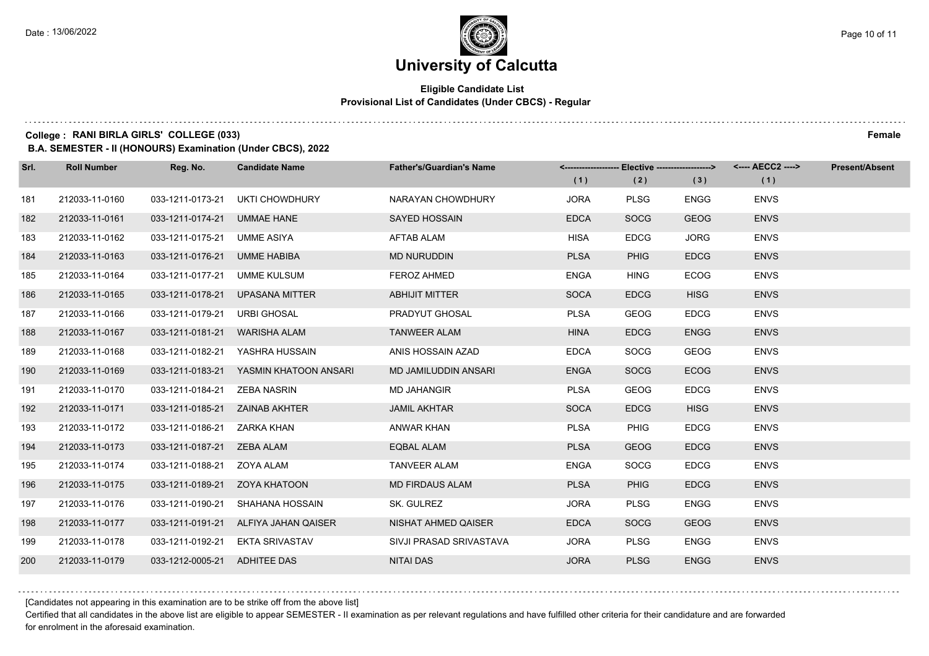## **Eligible Candidate List Provisional List of Candidates (Under CBCS) - Regular**

**College : RANI BIRLA GIRLS' COLLEGE (033) Female**

**B.A. SEMESTER - II (HONOURS) Examination (Under CBCS), 2022**

| Srl. | <b>Roll Number</b> | Reg. No.                           | <b>Candidate Name</b>                  | <b>Father's/Guardian's Name</b> | (1)         | <-------------------- Elective -------------------><br>(2) | (3)         | <---- AECC2 ----><br>(1) | <b>Present/Absent</b> |
|------|--------------------|------------------------------------|----------------------------------------|---------------------------------|-------------|------------------------------------------------------------|-------------|--------------------------|-----------------------|
| 181  | 212033-11-0160     | 033-1211-0173-21                   | <b>UKTI CHOWDHURY</b>                  | NARAYAN CHOWDHURY               | <b>JORA</b> | <b>PLSG</b>                                                | <b>ENGG</b> | <b>ENVS</b>              |                       |
|      |                    |                                    |                                        |                                 |             |                                                            |             |                          |                       |
| 182  | 212033-11-0161     | 033-1211-0174-21                   | UMMAE HANE                             | <b>SAYED HOSSAIN</b>            | <b>EDCA</b> | <b>SOCG</b>                                                | <b>GEOG</b> | <b>ENVS</b>              |                       |
| 183  | 212033-11-0162     | 033-1211-0175-21 UMME ASIYA        |                                        | <b>AFTAB ALAM</b>               | <b>HISA</b> | <b>EDCG</b>                                                | <b>JORG</b> | <b>ENVS</b>              |                       |
| 184  | 212033-11-0163     | 033-1211-0176-21 UMME HABIBA       |                                        | <b>MD NURUDDIN</b>              | <b>PLSA</b> | <b>PHIG</b>                                                | <b>EDCG</b> | <b>ENVS</b>              |                       |
| 185  | 212033-11-0164     | 033-1211-0177-21 UMME KULSUM       |                                        | FEROZ AHMED                     | <b>ENGA</b> | <b>HING</b>                                                | <b>ECOG</b> | <b>ENVS</b>              |                       |
| 186  | 212033-11-0165     | 033-1211-0178-21                   | UPASANA MITTER                         | <b>ABHIJIT MITTER</b>           | <b>SOCA</b> | <b>EDCG</b>                                                | <b>HISG</b> | <b>ENVS</b>              |                       |
| 187  | 212033-11-0166     | 033-1211-0179-21 URBI GHOSAL       |                                        | PRADYUT GHOSAL                  | <b>PLSA</b> | <b>GEOG</b>                                                | <b>EDCG</b> | <b>ENVS</b>              |                       |
| 188  | 212033-11-0167     | 033-1211-0181-21 WARISHA ALAM      |                                        | <b>TANWEER ALAM</b>             | <b>HINA</b> | <b>EDCG</b>                                                | <b>ENGG</b> | <b>ENVS</b>              |                       |
| 189  | 212033-11-0168     | 033-1211-0182-21                   | YASHRA HUSSAIN                         | ANIS HOSSAIN AZAD               | <b>EDCA</b> | SOCG                                                       | <b>GEOG</b> | <b>ENVS</b>              |                       |
| 190  | 212033-11-0169     |                                    | 033-1211-0183-21 YASMIN KHATOON ANSARI | MD JAMILUDDIN ANSARI            | <b>ENGA</b> | <b>SOCG</b>                                                | <b>ECOG</b> | <b>ENVS</b>              |                       |
| 191  | 212033-11-0170     | 033-1211-0184-21    ZEBA NASRIN    |                                        | <b>MD JAHANGIR</b>              | <b>PLSA</b> | <b>GEOG</b>                                                | <b>EDCG</b> | <b>ENVS</b>              |                       |
| 192  | 212033-11-0171     | 033-1211-0185-21     ZAINAB AKHTER |                                        | <b>JAMIL AKHTAR</b>             | <b>SOCA</b> | <b>EDCG</b>                                                | <b>HISG</b> | <b>ENVS</b>              |                       |
| 193  | 212033-11-0172     | 033-1211-0186-21    ZARKA KHAN     |                                        | ANWAR KHAN                      | <b>PLSA</b> | <b>PHIG</b>                                                | <b>EDCG</b> | <b>ENVS</b>              |                       |
| 194  | 212033-11-0173     | 033-1211-0187-21    ZEBA ALAM      |                                        | <b>EQBAL ALAM</b>               | <b>PLSA</b> | <b>GEOG</b>                                                | <b>EDCG</b> | <b>ENVS</b>              |                       |
| 195  | 212033-11-0174     | 033-1211-0188-21  ZOYA ALAM        |                                        | <b>TANVEER ALAM</b>             | <b>ENGA</b> | <b>SOCG</b>                                                | <b>EDCG</b> | <b>ENVS</b>              |                       |
| 196  | 212033-11-0175     | 033-1211-0189-21  ZOYA KHATOON     |                                        | <b>MD FIRDAUS ALAM</b>          | <b>PLSA</b> | <b>PHIG</b>                                                | <b>EDCG</b> | <b>ENVS</b>              |                       |
| 197  | 212033-11-0176     | 033-1211-0190-21                   | SHAHANA HOSSAIN                        | SK. GULREZ                      | <b>JORA</b> | <b>PLSG</b>                                                | ENGG        | <b>ENVS</b>              |                       |
| 198  | 212033-11-0177     |                                    | 033-1211-0191-21 ALFIYA JAHAN QAISER   | NISHAT AHMED QAISER             | <b>EDCA</b> | <b>SOCG</b>                                                | <b>GEOG</b> | <b>ENVS</b>              |                       |
| 199  | 212033-11-0178     |                                    | 033-1211-0192-21 EKTA SRIVASTAV        | SIVJI PRASAD SRIVASTAVA         | <b>JORA</b> | <b>PLSG</b>                                                | <b>ENGG</b> | <b>ENVS</b>              |                       |
| 200  | 212033-11-0179     | 033-1212-0005-21 ADHITEE DAS       |                                        | <b>NITAI DAS</b>                | <b>JORA</b> | <b>PLSG</b>                                                | <b>ENGG</b> | <b>ENVS</b>              |                       |

[Candidates not appearing in this examination are to be strike off from the above list]

Certified that all candidates in the above list are eligible to appear SEMESTER - II examination as per relevant regulations and have fulfilled other criteria for their candidature and are forwarded for enrolment in the aforesaid examination.